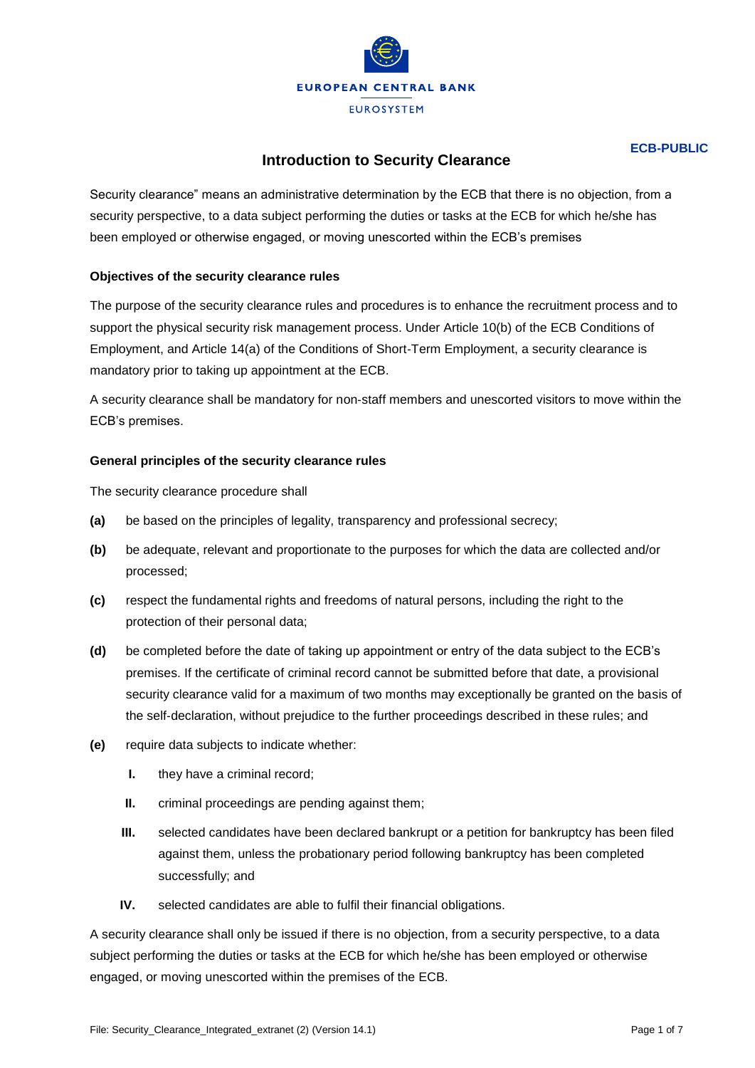

# **ECB-PUBLIC**

# **Introduction to Security Clearance**

Security clearance" means an administrative determination by the ECB that there is no objection, from a security perspective, to a data subject performing the duties or tasks at the ECB for which he/she has been employed or otherwise engaged, or moving unescorted within the ECB's premises

# **Objectives of the security clearance rules**

The purpose of the security clearance rules and procedures is to enhance the recruitment process and to support the physical security risk management process. Under Article 10(b) of the ECB Conditions of Employment, and Article 14(a) of the Conditions of Short‐Term Employment, a security clearance is mandatory prior to taking up appointment at the ECB.

A security clearance shall be mandatory for non‐staff members and unescorted visitors to move within the ECB's premises.

## **General principles of the security clearance rules**

The security clearance procedure shall

- **(a)** be based on the principles of legality, transparency and professional secrecy;
- **(b)** be adequate, relevant and proportionate to the purposes for which the data are collected and/or processed;
- **(c)** respect the fundamental rights and freedoms of natural persons, including the right to the protection of their personal data;
- **(d)** be completed before the date of taking up appointment or entry of the data subject to the ECB's premises. If the certificate of criminal record cannot be submitted before that date, a provisional security clearance valid for a maximum of two months may exceptionally be granted on the basis of the self‐declaration, without prejudice to the further proceedings described in these rules; and
- **(e)** require data subjects to indicate whether:
	- **I.** they have a criminal record;
	- **II.** criminal proceedings are pending against them;
	- **III.** selected candidates have been declared bankrupt or a petition for bankruptcy has been filed against them, unless the probationary period following bankruptcy has been completed successfully; and
	- **IV.** selected candidates are able to fulfil their financial obligations.

A security clearance shall only be issued if there is no objection, from a security perspective, to a data subject performing the duties or tasks at the ECB for which he/she has been employed or otherwise engaged, or moving unescorted within the premises of the ECB.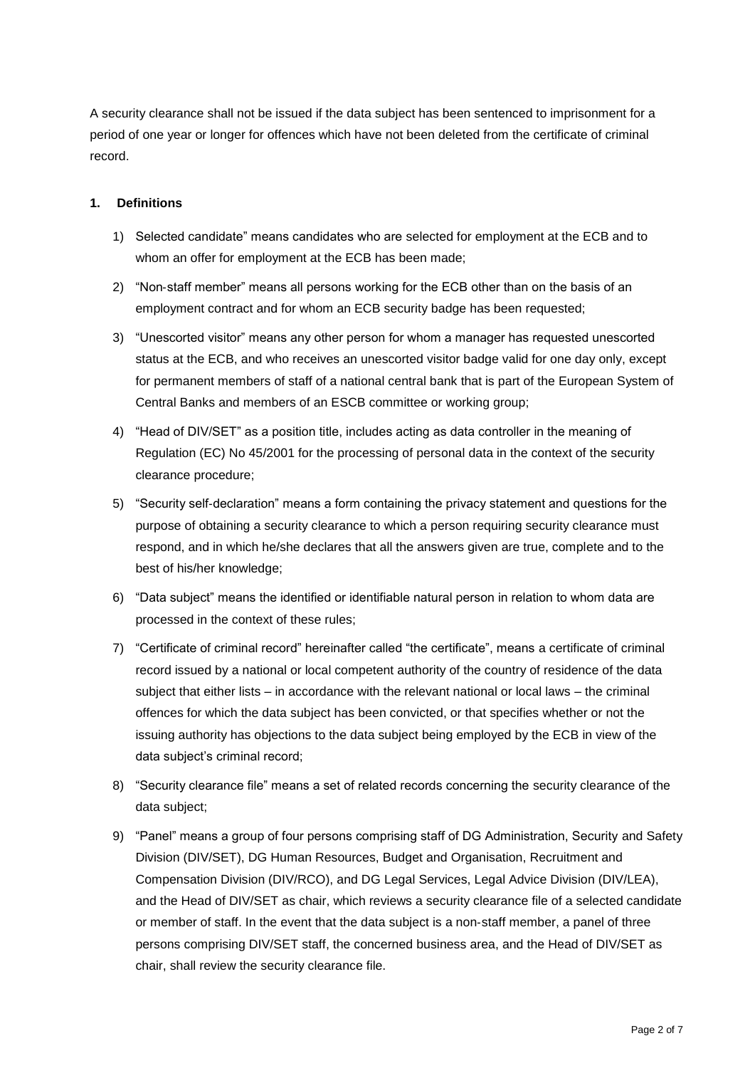A security clearance shall not be issued if the data subject has been sentenced to imprisonment for a period of one year or longer for offences which have not been deleted from the certificate of criminal record.

# **1. Definitions**

- 1) Selected candidate" means candidates who are selected for employment at the ECB and to whom an offer for employment at the ECB has been made;
- 2) "Non-staff member" means all persons working for the ECB other than on the basis of an employment contract and for whom an ECB security badge has been requested;
- 3) "Unescorted visitor" means any other person for whom a manager has requested unescorted status at the ECB, and who receives an unescorted visitor badge valid for one day only, except for permanent members of staff of a national central bank that is part of the European System of Central Banks and members of an ESCB committee or working group;
- 4) "Head of DIV/SET" as a position title, includes acting as data controller in the meaning of Regulation (EC) No 45/2001 for the processing of personal data in the context of the security clearance procedure;
- 5) "Security self‐declaration" means a form containing the privacy statement and questions for the purpose of obtaining a security clearance to which a person requiring security clearance must respond, and in which he/she declares that all the answers given are true, complete and to the best of his/her knowledge;
- 6) "Data subject" means the identified or identifiable natural person in relation to whom data are processed in the context of these rules;
- 7) "Certificate of criminal record" hereinafter called "the certificate", means a certificate of criminal record issued by a national or local competent authority of the country of residence of the data subject that either lists – in accordance with the relevant national or local laws – the criminal offences for which the data subject has been convicted, or that specifies whether or not the issuing authority has objections to the data subject being employed by the ECB in view of the data subject's criminal record;
- 8) "Security clearance file" means a set of related records concerning the security clearance of the data subject;
- 9) "Panel" means a group of four persons comprising staff of DG Administration, Security and Safety Division (DIV/SET), DG Human Resources, Budget and Organisation, Recruitment and Compensation Division (DIV/RCO), and DG Legal Services, Legal Advice Division (DIV/LEA), and the Head of DIV/SET as chair, which reviews a security clearance file of a selected candidate or member of staff. In the event that the data subject is a non‐staff member, a panel of three persons comprising DIV/SET staff, the concerned business area, and the Head of DIV/SET as chair, shall review the security clearance file.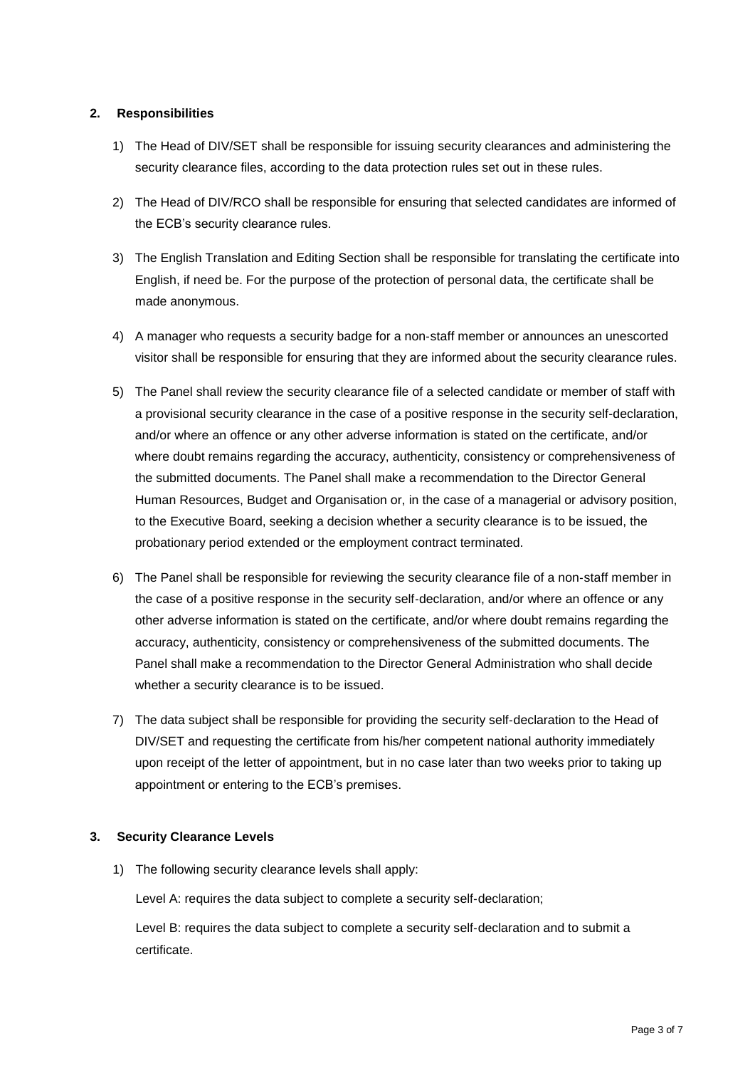# **2. Responsibilities**

- 1) The Head of DIV/SET shall be responsible for issuing security clearances and administering the security clearance files, according to the data protection rules set out in these rules.
- 2) The Head of DIV/RCO shall be responsible for ensuring that selected candidates are informed of the ECB's security clearance rules.
- 3) The English Translation and Editing Section shall be responsible for translating the certificate into English, if need be. For the purpose of the protection of personal data, the certificate shall be made anonymous.
- 4) A manager who requests a security badge for a non-staff member or announces an unescorted visitor shall be responsible for ensuring that they are informed about the security clearance rules.
- 5) The Panel shall review the security clearance file of a selected candidate or member of staff with a provisional security clearance in the case of a positive response in the security self-declaration, and/or where an offence or any other adverse information is stated on the certificate, and/or where doubt remains regarding the accuracy, authenticity, consistency or comprehensiveness of the submitted documents. The Panel shall make a recommendation to the Director General Human Resources, Budget and Organisation or, in the case of a managerial or advisory position, to the Executive Board, seeking a decision whether a security clearance is to be issued, the probationary period extended or the employment contract terminated.
- 6) The Panel shall be responsible for reviewing the security clearance file of a non‐staff member in the case of a positive response in the security self‐declaration, and/or where an offence or any other adverse information is stated on the certificate, and/or where doubt remains regarding the accuracy, authenticity, consistency or comprehensiveness of the submitted documents. The Panel shall make a recommendation to the Director General Administration who shall decide whether a security clearance is to be issued.
- 7) The data subject shall be responsible for providing the security self-declaration to the Head of DIV/SET and requesting the certificate from his/her competent national authority immediately upon receipt of the letter of appointment, but in no case later than two weeks prior to taking up appointment or entering to the ECB's premises.

## **3. Security Clearance Levels**

1) The following security clearance levels shall apply:

Level A: requires the data subject to complete a security self-declaration;

Level B: requires the data subject to complete a security self‐declaration and to submit a certificate.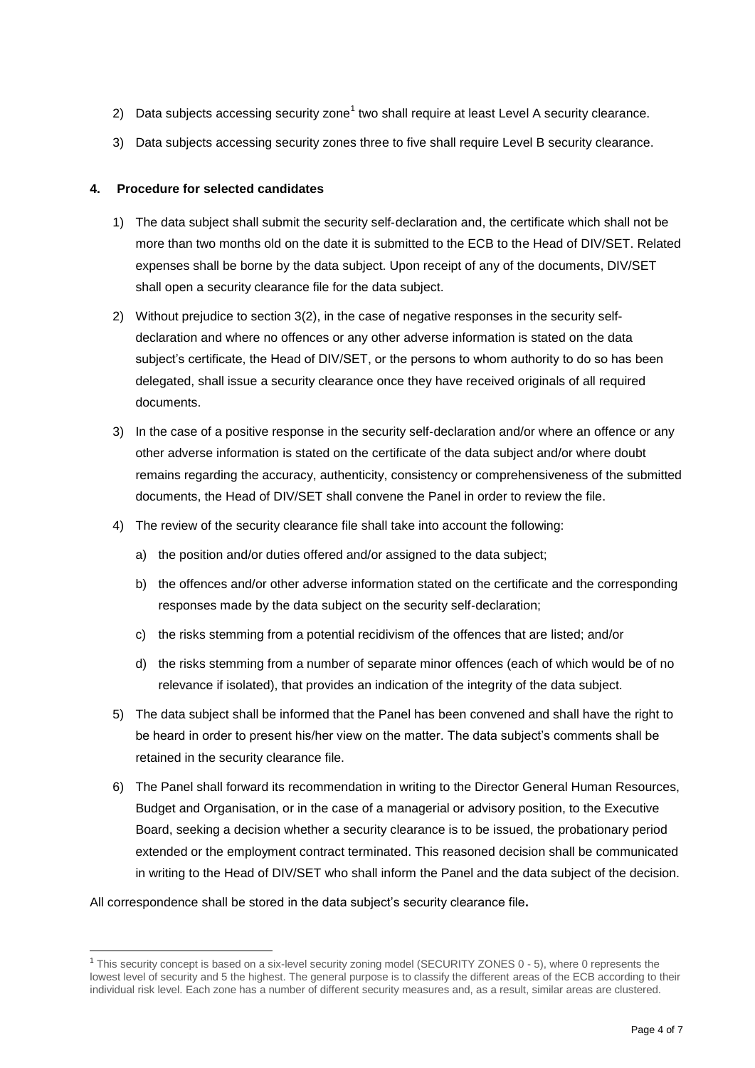- 2) Data subjects accessing security zone<sup>1</sup> two shall require at least Level A security clearance.
- 3) Data subjects accessing security zones three to five shall require Level B security clearance.

## **4. Procedure for selected candidates**

- 1) The data subject shall submit the security self‐declaration and, the certificate which shall not be more than two months old on the date it is submitted to the ECB to the Head of DIV/SET. Related expenses shall be borne by the data subject. Upon receipt of any of the documents, DIV/SET shall open a security clearance file for the data subject.
- 2) Without prejudice to section 3(2), in the case of negative responses in the security selfdeclaration and where no offences or any other adverse information is stated on the data subject's certificate, the Head of DIV/SET, or the persons to whom authority to do so has been delegated, shall issue a security clearance once they have received originals of all required documents.
- 3) In the case of a positive response in the security self‐declaration and/or where an offence or any other adverse information is stated on the certificate of the data subject and/or where doubt remains regarding the accuracy, authenticity, consistency or comprehensiveness of the submitted documents, the Head of DIV/SET shall convene the Panel in order to review the file.
- 4) The review of the security clearance file shall take into account the following:
	- a) the position and/or duties offered and/or assigned to the data subject;
	- b) the offences and/or other adverse information stated on the certificate and the corresponding responses made by the data subject on the security self‐declaration;
	- c) the risks stemming from a potential recidivism of the offences that are listed; and/or
	- d) the risks stemming from a number of separate minor offences (each of which would be of no relevance if isolated), that provides an indication of the integrity of the data subject.
- 5) The data subject shall be informed that the Panel has been convened and shall have the right to be heard in order to present his/her view on the matter. The data subject's comments shall be retained in the security clearance file.
- 6) The Panel shall forward its recommendation in writing to the Director General Human Resources, Budget and Organisation, or in the case of a managerial or advisory position, to the Executive Board, seeking a decision whether a security clearance is to be issued, the probationary period extended or the employment contract terminated. This reasoned decision shall be communicated in writing to the Head of DIV/SET who shall inform the Panel and the data subject of the decision.

#### All correspondence shall be stored in the data subject's security clearance file**.**

 $\overline{a}$ 

<sup>&</sup>lt;sup>1</sup> This security concept is based on a six-level security zoning model (SECURITY ZONES 0 - 5), where 0 represents the lowest level of security and 5 the highest. The general purpose is to classify the different areas of the ECB according to their individual risk level. Each zone has a number of different security measures and, as a result, similar areas are clustered.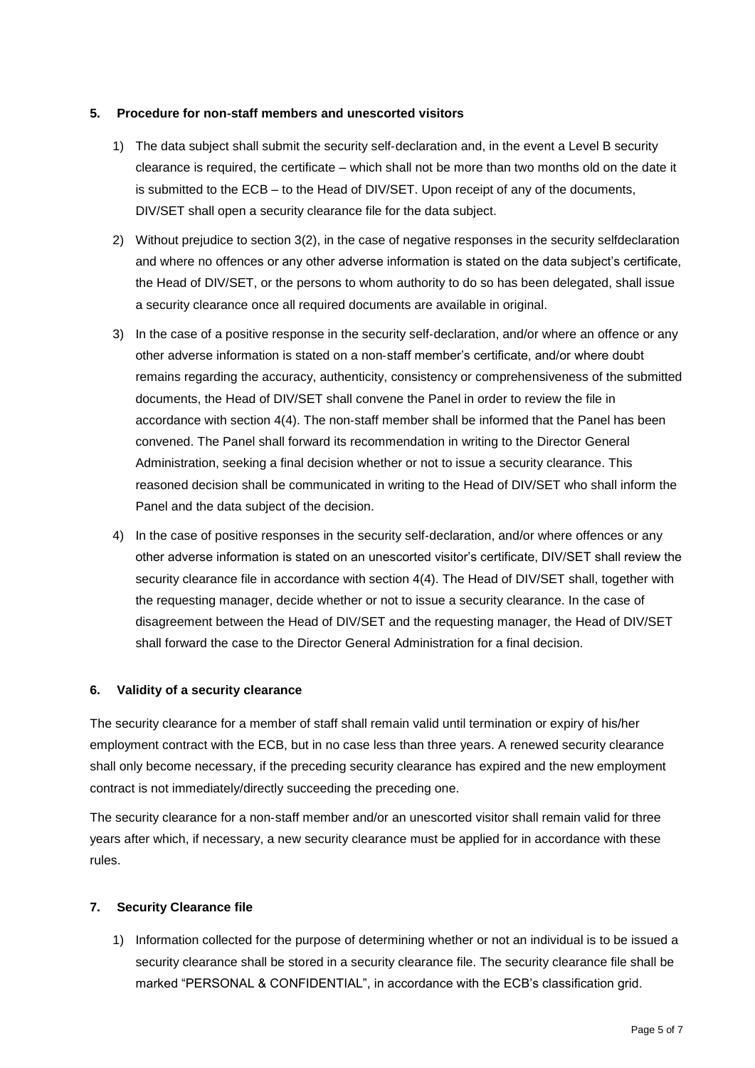## **5. Procedure for non**‐**staff members and unescorted visitors**

- 1) The data subject shall submit the security self-declaration and, in the event a Level B security clearance is required, the certificate – which shall not be more than two months old on the date it is submitted to the ECB – to the Head of DIV/SET. Upon receipt of any of the documents, DIV/SET shall open a security clearance file for the data subject.
- 2) Without prejudice to section 3(2), in the case of negative responses in the security selfdeclaration and where no offences or any other adverse information is stated on the data subject's certificate, the Head of DIV/SET, or the persons to whom authority to do so has been delegated, shall issue a security clearance once all required documents are available in original.
- 3) In the case of a positive response in the security self‐declaration, and/or where an offence or any other adverse information is stated on a non‐staff member's certificate, and/or where doubt remains regarding the accuracy, authenticity, consistency or comprehensiveness of the submitted documents, the Head of DIV/SET shall convene the Panel in order to review the file in accordance with section 4(4). The non‐staff member shall be informed that the Panel has been convened. The Panel shall forward its recommendation in writing to the Director General Administration, seeking a final decision whether or not to issue a security clearance. This reasoned decision shall be communicated in writing to the Head of DIV/SET who shall inform the Panel and the data subject of the decision.
- 4) In the case of positive responses in the security self-declaration, and/or where offences or any other adverse information is stated on an unescorted visitor's certificate, DIV/SET shall review the security clearance file in accordance with section 4(4). The Head of DIV/SET shall, together with the requesting manager, decide whether or not to issue a security clearance. In the case of disagreement between the Head of DIV/SET and the requesting manager, the Head of DIV/SET shall forward the case to the Director General Administration for a final decision.

## **6. Validity of a security clearance**

The security clearance for a member of staff shall remain valid until termination or expiry of his/her employment contract with the ECB, but in no case less than three years. A renewed security clearance shall only become necessary, if the preceding security clearance has expired and the new employment contract is not immediately/directly succeeding the preceding one.

The security clearance for a non-staff member and/or an unescorted visitor shall remain valid for three years after which, if necessary, a new security clearance must be applied for in accordance with these rules.

# **7. Security Clearance file**

1) Information collected for the purpose of determining whether or not an individual is to be issued a security clearance shall be stored in a security clearance file. The security clearance file shall be marked "PERSONAL & CONFIDENTIAL", in accordance with the ECB's classification grid.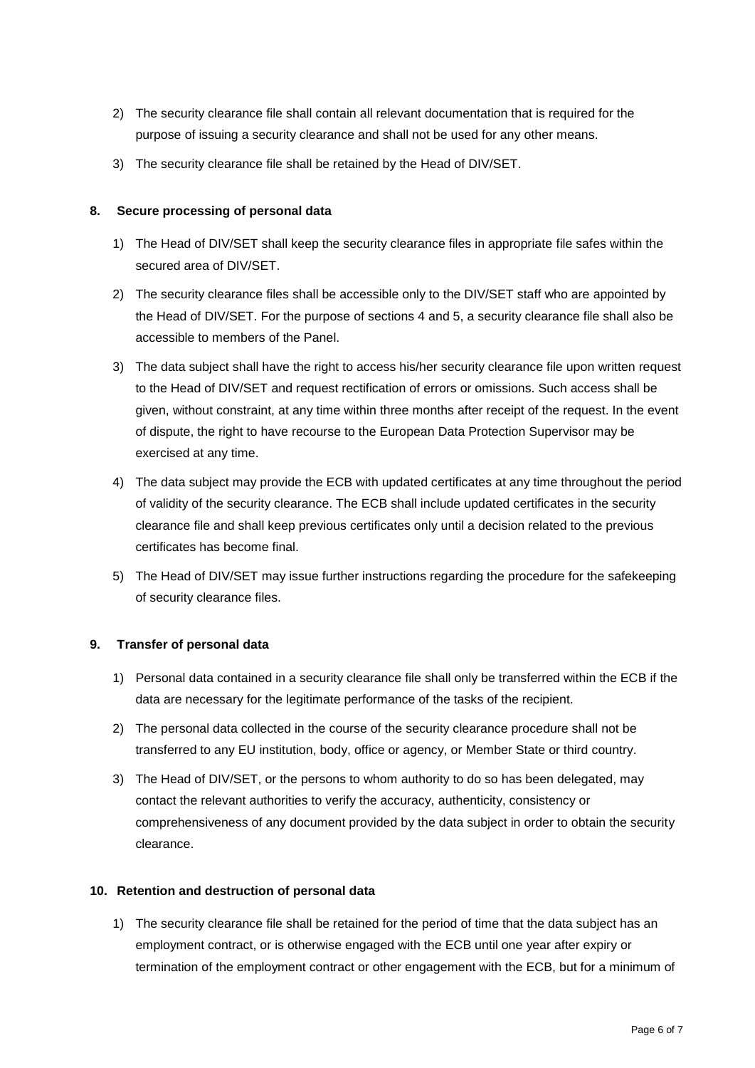- 2) The security clearance file shall contain all relevant documentation that is required for the purpose of issuing a security clearance and shall not be used for any other means.
- 3) The security clearance file shall be retained by the Head of DIV/SET.

# **8. Secure processing of personal data**

- 1) The Head of DIV/SET shall keep the security clearance files in appropriate file safes within the secured area of DIV/SET.
- 2) The security clearance files shall be accessible only to the DIV/SET staff who are appointed by the Head of DIV/SET. For the purpose of sections 4 and 5, a security clearance file shall also be accessible to members of the Panel.
- 3) The data subject shall have the right to access his/her security clearance file upon written request to the Head of DIV/SET and request rectification of errors or omissions. Such access shall be given, without constraint, at any time within three months after receipt of the request. In the event of dispute, the right to have recourse to the European Data Protection Supervisor may be exercised at any time.
- 4) The data subject may provide the ECB with updated certificates at any time throughout the period of validity of the security clearance. The ECB shall include updated certificates in the security clearance file and shall keep previous certificates only until a decision related to the previous certificates has become final.
- 5) The Head of DIV/SET may issue further instructions regarding the procedure for the safekeeping of security clearance files.

## **9. Transfer of personal data**

- 1) Personal data contained in a security clearance file shall only be transferred within the ECB if the data are necessary for the legitimate performance of the tasks of the recipient.
- 2) The personal data collected in the course of the security clearance procedure shall not be transferred to any EU institution, body, office or agency, or Member State or third country.
- 3) The Head of DIV/SET, or the persons to whom authority to do so has been delegated, may contact the relevant authorities to verify the accuracy, authenticity, consistency or comprehensiveness of any document provided by the data subject in order to obtain the security clearance.

## **10. Retention and destruction of personal data**

1) The security clearance file shall be retained for the period of time that the data subject has an employment contract, or is otherwise engaged with the ECB until one year after expiry or termination of the employment contract or other engagement with the ECB, but for a minimum of